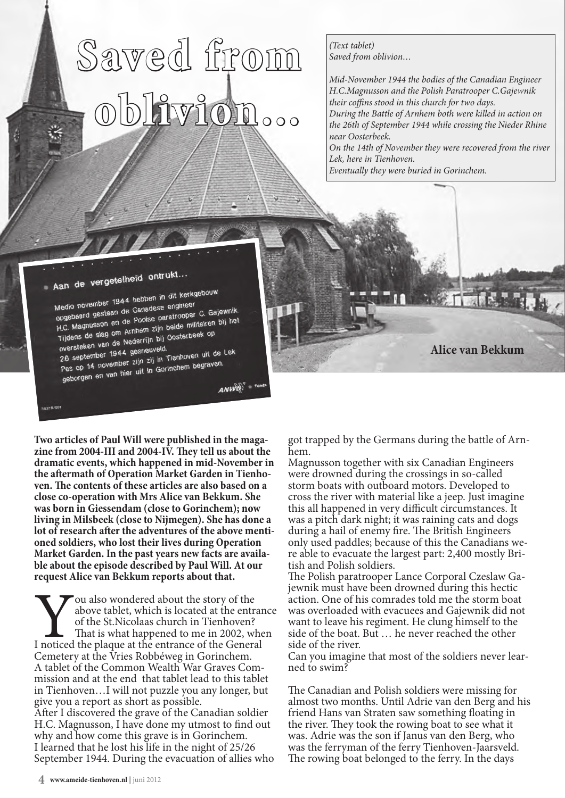## **Saved from oblivion…**

*(Text tablet) Saved from oblivion…*

*Mid-November 1944 the bodies of the Canadian Engineer H.C.Magnusson and the Polish Paratrooper C.Gajewnik their coffins stood in this church for two days. During the Battle of Arnhem both were killed in action on the 26th of September 1944 while crossing the Nieder Rhine near Oosterbeek. On the 14th of November they were recovered from the river Lek, here in Tienhoven.*

**Alice van Bekkum**

*Eventually they were buried in Gorinchem.*



Medio november 1944 hebben in die engineer<br>opgebaard gestaan de Canadese engineer Medio november 1944<br>opgebaard gestaan de Canadese engineer<br>H.C. Magnusson en de Poolse paratrooper C. Gajewnik.<br>H.C. Magnusson en de Poolse paratrooper C. Gajewnik. opgebaard gestaan de Poolse paratrooper C. Galemann<br>H.C. Magnusson en de Poolse paratrooper C. Galemann<br>Tijdens de slag om Arnhem zijn beide militairen bij het H.C. Magnusouring om Arnhem zijn belge inimalienten<br>Tijdens de slag om Arnhem zijn Dosterbeek op<br>oversteken van de Nederrijn bij Oosterbeek op oversteken van de Nederlands<br>26 september 1944 gesneuveld.

oversteken van de noemde.<br>26 september 1944 gesneuveld.<br>Pas op 14 november zijn zij in Tienhoven uit de Lek 26 september 21 in Tiennoven 2.1<br>Pas op 14 november 21 in Gorinchem begraven.<br>geborgen en van hier uit in Gorinchem begraven.

**ANWEL** 

**Two articles of Paul Will were published in the maga- zine from 2004-III and 2004-IV. They tell us about the dramatic events, which happened in mid-November in the aftermath of these articles are also based on a close co-operation with Mrs Alice van Bekkum. She was born in Giessendam (close to Gorinchem); now living in Milsbeek (close to Nijmegen). She has done a lot of research after the adventures of the above menti- oned soldiers, who lost their lives during Operation**  ble about the episode described by Paul Will. At our **request Alice van Bekkum reports about that.**

You also wondered about the story of the above tablet, which is located at the entrar<br>of the St.Nicolaas church in Tienhoven?<br>That is what happened to me in 2002, whe<br>I noticed the plaque at the entrance of the General above tablet, which is located at the entrance of the St.Nicolaas church in Tienhoven? That is what happened to me in 2002, when Cemetery at the Vries Robbéweg in Gorinchem.<br>A tablet of the Common Wealth War Graves Commission and at the end that tablet lead to this tablet in Tienhoven…I will not puzzle you any longer, but give you a report as short as possible. After I discovered the grave of the Canadian soldier H.C. Magnusson, I have done my utmost to find out why and how come this grave is in Gorinchem. I learned that he lost his life in the night of 25/26

September 1944. During the evacuation of allies who

got trapped by the Germans during the battle of Arnhem.

Magnusson together with six Canadian Engineers were drowned during the crossings in so-called storm boats with outboard motors. Developed to cross the river with material like a jeep. Just imagine this all happened in very difficult circumstances. It was a pitch dark night; it was raining cats and dogs during a hail of enemy fire. The British Engineers only used paddles; because of this the Canadians were able to evacuate the largest part: 2,400 mostly British and Polish soldiers.

The Polish paratrooper Lance Corporal Czeslaw Gajewnik must have been drowned during this hectic action. One of his comrades told me the storm boat was overloaded with evacuees and Gajewnik did not want to leave his regiment. He clung himself to the side of the boat. But … he never reached the other side of the river.

Can you imagine that most of the soldiers never lear- ned to swim?

The Canadian and Polish soldiers were missing for almost two months. Until Adrie van den Berg and his friend Hans van Straten saw something floating in the river. They took the rowing boat to see what it was. Adrie was the son if Janus van den Berg, who was the ferryman of the ferry Tienhoven-Jaarsveld. The rowing boat belonged to the ferry. In the days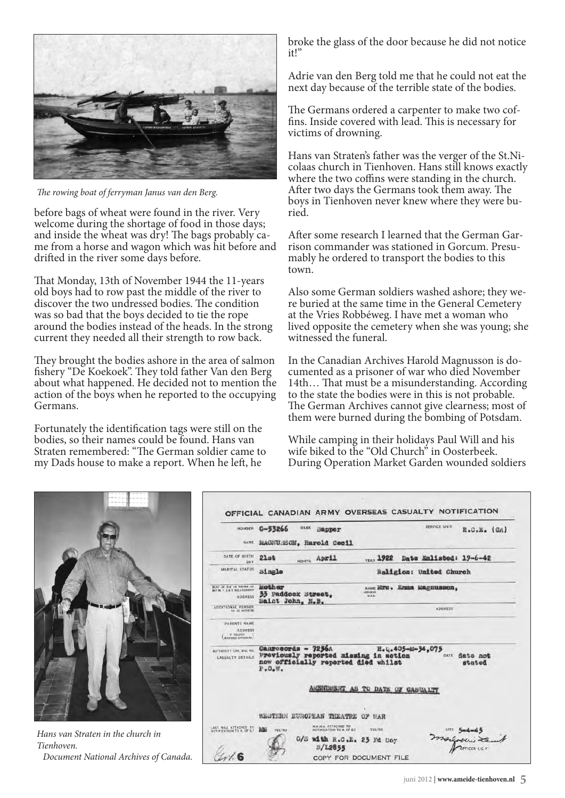

*The rowing boat of ferryman Janus van den Berg.*

before bags of wheat were found in the river. Very welcome during the shortage of food in those days; and inside the wheat was dry! The bags probably came from a horse and wagon which was hit before and drifted in the river some days before.

That Monday, 13th of November 1944 the 11-years old boys had to row past the middle of the river to discover the two undressed bodies. The condition was so bad that the boys decided to tie the rope around the bodies instead of the heads. In the strong current they needed all their strength to row back.

They brought the bodies ashore in the area of salmon fishery "De Koekoek". They told father Van den Berg about what happened. He decided not to mention the action of the boys when he reported to the occupying Germans.

Fortunately the identification tags were still on the bodies, so their names could be found. Hans van Straten remembered: "The German soldier came to my Dads house to make a report. When he left, he

broke the glass of the door because he did not notice it!"

Adrie van den Berg told me that he could not eat the next day because of the terrible state of the bodies.

The Germans ordered a carpenter to make two coffins. Inside covered with lead. This is necessary for victims of drowning.

Hans van Straten's father was the verger of the St.Nicolaas church in Tienhoven. Hans still knows exactly where the two coffins were standing in the church. After two days the Germans took them away. The boys in Tienhoven never knew where they were buried.

After some research I learned that the German Garrison commander was stationed in Gorcum. Presumably he ordered to transport the bodies to this town.

Also some German soldiers washed ashore; they were buried at the same time in the General Cemetery at the Vries Robbéweg. I have met a woman who lived opposite the cemetery when she was young; she witnessed the funeral.

In the Canadian Archives Harold Magnusson is documented as a prisoner of war who died November 14th… That must be a misunderstanding. According to the state the bodies were in this is not probable. The German Archives cannot give clearness; most of them were burned during the bombing of Potsdam.

While camping in their holidays Paul Will and his wife biked to the "Old Church" in Oosterbeek. During Operation Market Garden wounded soldiers



*Hans van Straten in the church in Tienhoven. Document National Archives of Canada.*

| <b>NUMBER</b>                                                             | SERVICE UNIT<br>$G - 53266$<br><b>RANK</b><br>R.C.E. (GA)<br>Sanper                                                                                                  |
|---------------------------------------------------------------------------|----------------------------------------------------------------------------------------------------------------------------------------------------------------------|
| NAME                                                                      | MAGNURSON, Harold Cecil                                                                                                                                              |
| DATE OF BIRTH<br>DAY                                                      | $21a$ <sup>t</sup><br>MONTH April<br>Date Enlisted: 19-6-42<br><b>YEAR 1922</b>                                                                                      |
| MARITAL STATUS                                                            | Single<br>Religion: United Church                                                                                                                                    |
| NEXT OF KIN AS SHOWN ON<br>M.F.M. 1. 2 & 5 RELATIONSHIP<br><b>ADDRESS</b> | Mother<br>NAME ETS. ETER Magnusson.<br><b>ADDRESS</b><br>33 Paddock Street,<br>D.A.B.<br>Saint John, N.B.                                                            |
| <b>ADDITIONAL PERSON</b><br>TO BE NOTIFIED                                | <b>ADDRESS</b>                                                                                                                                                       |
| <b>PARENTS NAME</b><br><b>ADDRESS</b><br>IF SOLDIER<br>MARRIED OVERSEAS.  |                                                                                                                                                                      |
| AUTHORITY CAS, SIG. NO.<br><b>CASUALTY DETAILS</b>                        | Canrecords - 7256A<br>H. C. 405-M-34.075<br>Previously reported missing in action<br>DATE date not<br>now officially reported died whilst<br>stated<br>$P - O - W -$ |
|                                                                           | ENDEENT AS TO DATE OF CASUALTY                                                                                                                                       |
|                                                                           | WESTERN EUROPTAN THEATRE<br>OF WAR                                                                                                                                   |
| LAST WILL ATTACHED TO<br>NOTIFICATION TO A. OF ET                         | M.F.M.S. ATTACHED TO<br>Má<br>YES/NO<br>NOTIFICATION TO A. OF E.I.<br>YES/NO                                                                                         |
|                                                                           | 0/S with R.C.L. 23 Fd Coy<br>S/L2855                                                                                                                                 |
|                                                                           |                                                                                                                                                                      |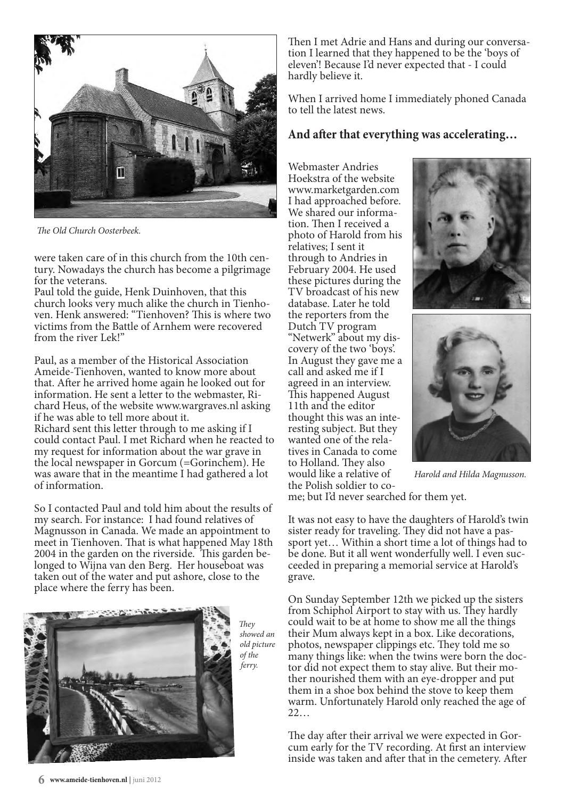

*The Old Church Oosterbeek.*

were taken care of in this church from the 10th century. Nowadays the church has become a pilgrimage for the veterans.

Paul told the guide, Henk Duinhoven, that this church looks very much alike the church in Tienhoven. Henk answered: "Tienhoven? This is where two victims from the Battle of Arnhem were recovered from the river Lek!"

Paul, as a member of the Historical Association Ameide-Tienhoven, wanted to know more about that. After he arrived home again he looked out for information. He sent a letter to the webmaster, Richard Heus, of the website www.wargraves.nl asking if he was able to tell more about it. Richard sent this letter through to me asking if I could contact Paul. I met Richard when he reacted to my request for information about the war grave in the local newspaper in Gorcum (=Gorinchem). He was aware that in the meantime I had gathered a lot of information.

So I contacted Paul and told him about the results of my search. For instance: I had found relatives of Magnusson in Canada. We made an appointment to meet in Tienhoven. That is what happened May 18th 2004 in the garden on the riverside. This garden belonged to Wijna van den Berg. Her houseboat was taken out of the water and put ashore, close to the place where the ferry has been.



*They showed an old picture of the ferry.*

Then I met Adrie and Hans and during our conversation I learned that they happened to be the 'boys of eleven'! Because I'd never expected that - I could hardly believe it.

When I arrived home I immediately phoned Canada to tell the latest news.

## **And after that everything was accelerating…**

Webmaster Andries Hoekstra of the website www.marketgarden.com I had approached before. We shared our information. Then I received a photo of Harold from his relatives; I sent it through to Andries in February 2004. He used these pictures during the TV broadcast of his new database. Later he told the reporters from the Dutch TV program "Netwerk" about my discovery of the two 'boys'. In August they gave me a call and asked me if I agreed in an interview. This happened August 11th and the editor thought this was an interesting subject. But they wanted one of the relatives in Canada to come to Holland. They also would like a relative of the Polish soldier to co-





*Harold and Hilda Magnusson.*

me; but I'd never searched for them yet.

It was not easy to have the daughters of Harold's twin sister ready for traveling. They did not have a passport yet… Within a short time a lot of things had to be done. But it all went wonderfully well. I even succeeded in preparing a memorial service at Harold's grave.

On Sunday September 12th we picked up the sisters from Schiphol Airport to stay with us. They hardly could wait to be at home to show me all the things their Mum always kept in a box. Like decorations, photos, newspaper clippings etc. They told me so many things like: when the twins were born the doctor did not expect them to stay alive. But their mother nourished them with an eye-dropper and put them in a shoe box behind the stove to keep them warm. Unfortunately Harold only reached the age of 22…

The day after their arrival we were expected in Gorcum early for the TV recording. At first an interview inside was taken and after that in the cemetery. After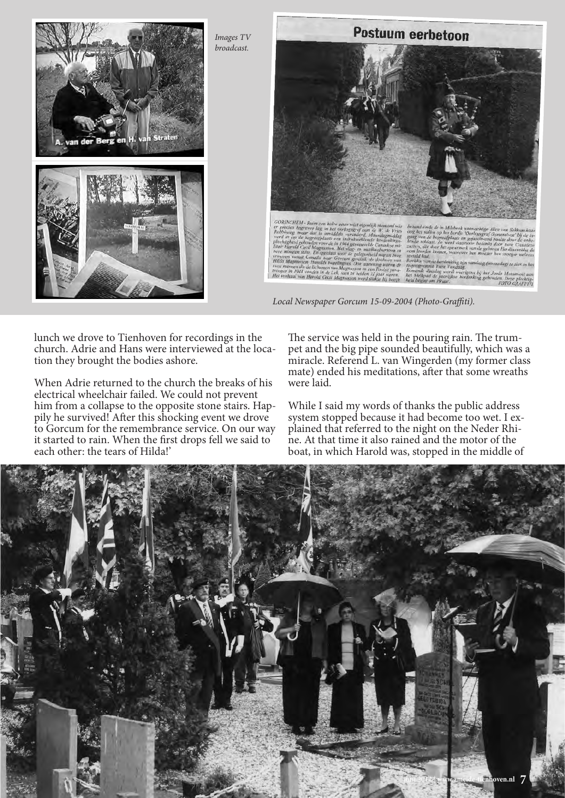

lunch we drove to Tienhoven for recordings in the church. Adrie and Hans were interviewed at the location they brought the bodies ashore.

When Adrie returned to the church the breaks of his electrical wheelchair failed. We could not prevent him from a collapse to the opposite stone stairs. Happily he survived! After this shocking event we drove to Gorcum for the remembrance service. On our way it started to rain. When the first drops fell we said to each other: the tears of Hilda!'

The service was held in the pouring rain. The trumpet and the big pipe sounded beautifully, which was a miracle. Referend L. van Wingerden (my former class mate) ended his meditations, after that some wreaths were laid.

While I said my words of thanks the public address system stopped because it had become too wet. I explained that referred to the night on the Neder Rhine. At that time it also rained and the motor of the boat, in which Harold was, stopped in the middle of

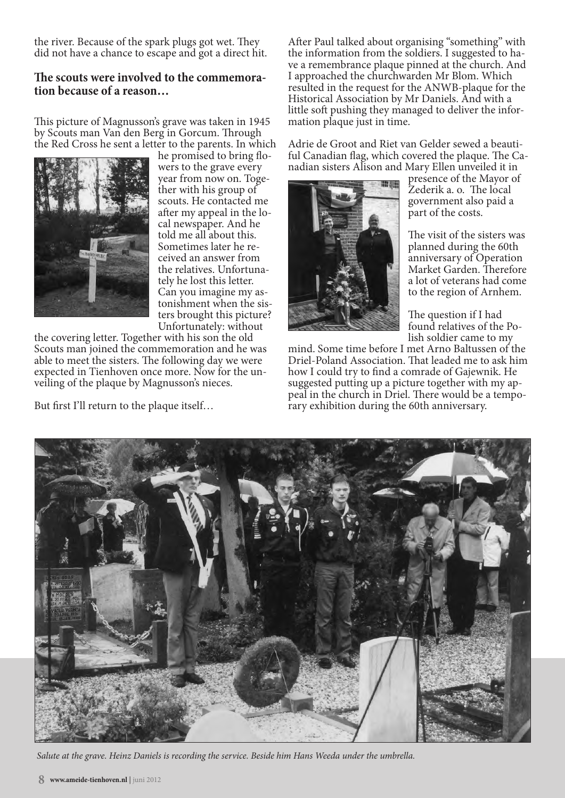the river. Because of the spark plugs got wet. They did not have a chance to escape and got a direct hit.

## **The scouts were involved to the commemora- tion because of a reason…**

This picture of Magnusson's grave was taken in 1945 by Scouts man Van den Berg in Gorcum. Through the Red Cross he sent a letter to the parents. In which



he promised to bring flowers to the grave every year from now on. Together with his group of scouts. He contacted me after my appeal in the local newspaper. And he told me all about this. Sometimes later he received an answer from the relatives. Unfortunately he lost this letter. Can you imagine my astonishment when the sisters brought this picture? Unfortunately: without

the covering letter. Together with his son the old Scouts man joined the commemoration and he was able to meet the sisters. The following day we were expected in Tienhoven once more. Now for the unveiling of the plaque by Magnusson's nieces.

But first I'll return to the plaque itself…

After Paul talked about organising "something" with the information from the soldiers. I suggested to have a remembrance plaque pinned at the church. And I approached the churchwarden Mr Blom. Which resulted in the request for the ANWB-plaque for the Historical Association by Mr Daniels. And with a little soft pushing they managed to deliver the infor- mation plaque just in time.

Adrie de Groot and Riet van Gelder sewed a beauti- ful Canadian flag, which covered the plaque. The Canadian sisters Alison and Mary Ellen unveiled it in



presence of the Mayor of Zederik a. o. The local government also paid a part of the costs.

The visit of the sisters was planned during the 60th anniversary of Operation Market Garden. Therefore a lot of veterans had come to the region of Arnhem.

The question if I had found relatives of the Polish soldier came to my

mind. Some time before I met Arno Baltussen of the Driel-Poland Association. That leaded me to ask him how I could try to find a comrade of Gajewnik. He suggested putting up a picture together with my appeal in the church in Driel. There would be a temporary exhibition during the 60th anniversary.



*Salute at the grave. Heinz Daniels is recording the service. Beside him Hans Weeda under the umbrella.*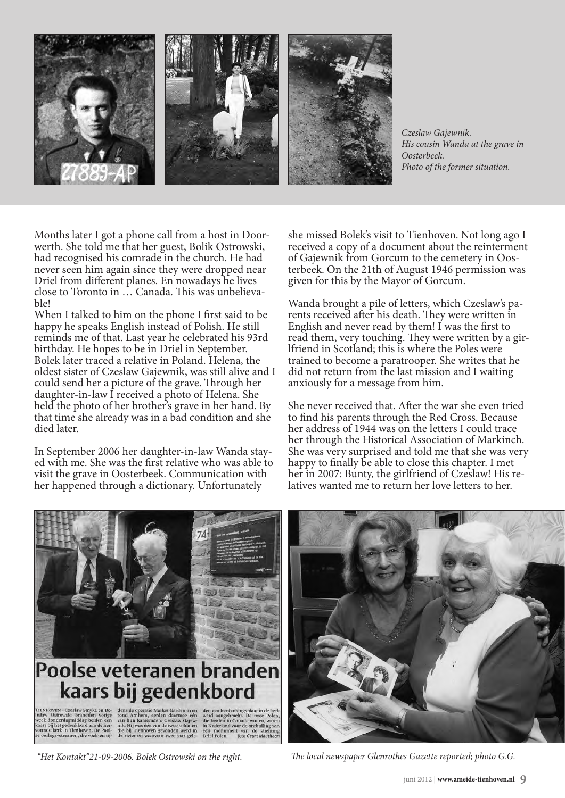

*Czeslaw Gajewnik. His cousin Wanda at the grave in Oosterbeek. Photo of the former situation.*

Months later I got a phone call from a host in Doorwerth. She told me that her guest, Bolik Ostrowski, had recognised his comrade in the church. He had never seen him again since they were dropped near Driel from different planes. En nowadays he lives close to Toronto in … Canada. This was unbelievable!

When I talked to him on the phone I first said to be happy he speaks English instead of Polish. He still reminds me of that. Last year he celebrated his 93rd birthday. He hopes to be in Driel in September. Bolek later traced a relative in Poland. Helena, the oldest sister of Czeslaw Gajewnik, was still alive and I could send her a picture of the grave. Through her daughter-in-law I received a photo of Helena. She held the photo of her brother's grave in her hand. By that time she already was in a bad condition and she died later.

In September 2006 her daughter-in-law Wanda stayed with me. She was the first relative who was able to visit the grave in Oosterbeek. Communication with her happened through a dictionary. Unfortunately

she missed Bolek's visit to Tienhoven. Not long ago I received a copy of a document about the reinterment of Gajewnik from Gorcum to the cemetery in Oosterbeek. On the 21th of August 1946 permission was given for this by the Mayor of Gorcum.

Wanda brought a pile of letters, which Czeslaw's parents received after his death. They were written in English and never read by them! I was the first to read them, very touching. They were written by a girlfriend in Scotland; this is where the Poles were trained to become a paratrooper. She writes that he did not return from the last mission and I waiting anxiously for a message from him.

She never received that. After the war she even tried to find his parents through the Red Cross. Because her address of 1944 was on the letters I could trace her through the Historical Association of Markinch. She was very surprised and told me that she was very happy to finally be able to close this chapter. I met her in 2007: Bunty, the girlfriend of Czeslaw! His relatives wanted me to return her love letters to her.



*"Het Kontakt"21-09-2006. Bolek Ostrowski on the right. The local newspaper Glenrothes Gazette reported; photo G.G.*